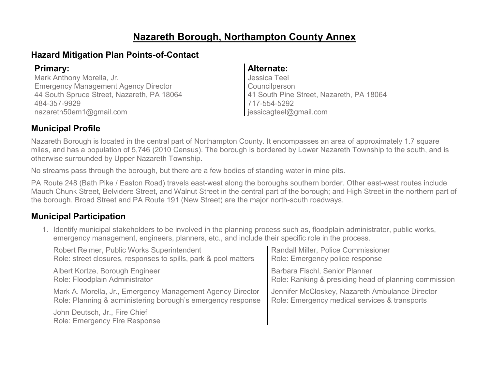# **Nazareth Borough, Northampton County Annex**

### **Hazard Mitigation Plan Points-of-Contact**

Mark Anthony Morella, Jr. Emergency Management Agency Director 44 South Spruce Street, Nazareth, PA 18064 484-357-9929 nazareth50em1@gmail.com

### **Primary: Alternate:**

Jessica Teel Councilperson 41 South Pine Street, Nazareth, PA 18064 717-554-5292 jessicagteel@gmail.com

### **Municipal Profile**

Nazareth Borough is located in the central part of Northampton County. It encompasses an area of approximately 1.7 square miles, and has a population of 5,746 (2010 Census). The borough is bordered by Lower Nazareth Township to the south, and is otherwise surrounded by Upper Nazareth Township.

No streams pass through the borough, but there are a few bodies of standing water in mine pits.

PA Route 248 (Bath Pike / Easton Road) travels east-west along the boroughs southern border. Other east-west routes include Mauch Chunk Street, Belvidere Street, and Walnut Street in the central part of the borough; and High Street in the northern part of the borough. Broad Street and PA Route 191 (New Street) are the major north-south roadways.

### **Municipal Participation**

1. Identify municipal stakeholders to be involved in the planning process such as, floodplain administrator, public works, emergency management, engineers, planners, etc., and include their specific role in the process.

| Robert Reimer, Public Works Superintendent                            | Randall Miller, Police Commissioner                   |
|-----------------------------------------------------------------------|-------------------------------------------------------|
| Role: street closures, responses to spills, park & pool matters       | Role: Emergency police response                       |
| Albert Kortze, Borough Engineer                                       | <b>Barbara Fischl, Senior Planner</b>                 |
| Role: Floodplain Administrator                                        | Role: Ranking & presiding head of planning commission |
| Mark A. Morella, Jr., Emergency Management Agency Director            | Jennifer McCloskey, Nazareth Ambulance Director       |
| Role: Planning & administering borough's emergency response           | Role: Emergency medical services & transports         |
| John Deutsch, Jr., Fire Chief<br><b>Role: Emergency Fire Response</b> |                                                       |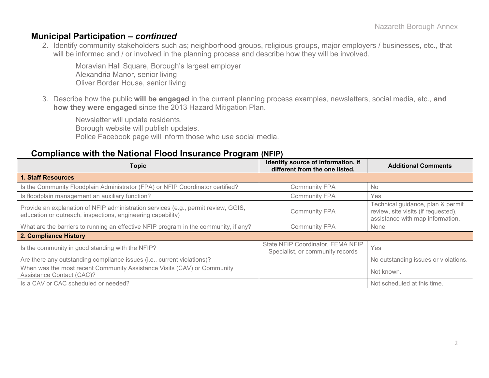#### **Municipal Participation –** *continued*

2. Identify community stakeholders such as; neighborhood groups, religious groups, major employers / businesses, etc., that will be informed and / or involved in the planning process and describe how they will be involved.

Moravian Hall Square, Borough's largest employer Alexandria Manor, senior living Oliver Border House, senior living

3. Describe how the public **will be engaged** in the current planning process examples, newsletters, social media, etc., **and how they were engaged** since the 2013 Hazard Mitigation Plan.

Newsletter will update residents. Borough website will publish updates. Police Facebook page will inform those who use social media.

#### **Compliance with the National Flood Insurance Program (NFIP)**

| <b>Topic</b>                                                                                                                                      | Identify source of information, if<br>different from the one listed.  | <b>Additional Comments</b>                                                                                   |
|---------------------------------------------------------------------------------------------------------------------------------------------------|-----------------------------------------------------------------------|--------------------------------------------------------------------------------------------------------------|
| <b>1. Staff Resources</b>                                                                                                                         |                                                                       |                                                                                                              |
| Is the Community Floodplain Administrator (FPA) or NFIP Coordinator certified?                                                                    | <b>Community FPA</b>                                                  | <b>No</b>                                                                                                    |
| Is floodplain management an auxiliary function?                                                                                                   | <b>Community FPA</b>                                                  | Yes                                                                                                          |
| Provide an explanation of NFIP administration services (e.g., permit review, GGIS,<br>education or outreach, inspections, engineering capability) | <b>Community FPA</b>                                                  | Technical guidance, plan & permit<br>review, site visits (if requested),<br>assistance with map information. |
| What are the barriers to running an effective NFIP program in the community, if any?                                                              | <b>Community FPA</b>                                                  | None                                                                                                         |
| 2. Compliance History                                                                                                                             |                                                                       |                                                                                                              |
| Is the community in good standing with the NFIP?                                                                                                  | State NFIP Coordinator, FEMA NFIP<br>Specialist, or community records | Yes                                                                                                          |
| Are there any outstanding compliance issues (i.e., current violations)?                                                                           |                                                                       | No outstanding issues or violations.                                                                         |
| When was the most recent Community Assistance Visits (CAV) or Community<br>Assistance Contact (CAC)?                                              |                                                                       | Not known.                                                                                                   |
| Is a CAV or CAC scheduled or needed?                                                                                                              |                                                                       | Not scheduled at this time.                                                                                  |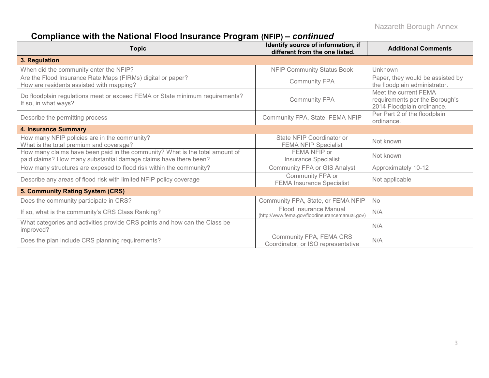Nazareth Borough Annex

# **Compliance with the National Flood Insurance Program (NFIP) –** *continued*

| <b>Topic</b>                                                                                                                                     | Identify source of information, if<br>different from the one listed.     | <b>Additional Comments</b>                                                            |
|--------------------------------------------------------------------------------------------------------------------------------------------------|--------------------------------------------------------------------------|---------------------------------------------------------------------------------------|
| 3. Regulation                                                                                                                                    |                                                                          |                                                                                       |
| When did the community enter the NFIP?                                                                                                           | <b>NFIP Community Status Book</b>                                        | Unknown                                                                               |
| Are the Flood Insurance Rate Maps (FIRMs) digital or paper?<br>How are residents assisted with mapping?                                          | <b>Community FPA</b>                                                     | Paper, they would be assisted by<br>the floodplain administrator.                     |
| Do floodplain regulations meet or exceed FEMA or State minimum requirements?<br>If so, in what ways?                                             | <b>Community FPA</b>                                                     | Meet the current FEMA<br>requirements per the Borough's<br>2014 Floodplain ordinance. |
| Describe the permitting process                                                                                                                  | Community FPA, State, FEMA NFIP                                          | Per Part 2 of the floodplain<br>ordinance.                                            |
| <b>4. Insurance Summary</b>                                                                                                                      |                                                                          |                                                                                       |
| How many NFIP policies are in the community?<br>What is the total premium and coverage?                                                          | State NFIP Coordinator or<br><b>FEMA NFIP Specialist</b>                 | Not known                                                                             |
| How many claims have been paid in the community? What is the total amount of<br>paid claims? How many substantial damage claims have there been? | FEMA NFIP or<br><b>Insurance Specialist</b>                              | Not known                                                                             |
| How many structures are exposed to flood risk within the community?                                                                              | <b>Community FPA or GIS Analyst</b>                                      | Approximately 10-12                                                                   |
| Describe any areas of flood risk with limited NFIP policy coverage                                                                               | Community FPA or<br><b>FEMA Insurance Specialist</b>                     | Not applicable                                                                        |
| 5. Community Rating System (CRS)                                                                                                                 |                                                                          |                                                                                       |
| Does the community participate in CRS?                                                                                                           | Community FPA, State, or FEMA NFIP                                       | No                                                                                    |
| If so, what is the community's CRS Class Ranking?                                                                                                | Flood Insurance Manual<br>(http://www.fema.gov/floodinsurancemanual.gov) | N/A                                                                                   |
| What categories and activities provide CRS points and how can the Class be<br>improved?                                                          |                                                                          | N/A                                                                                   |
| Does the plan include CRS planning requirements?                                                                                                 | Community FPA, FEMA CRS<br>Coordinator, or ISO representative            | N/A                                                                                   |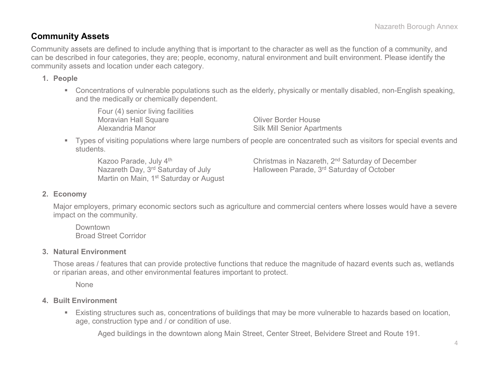### **Community Assets**

Community assets are defined to include anything that is important to the character as well as the function of a community, and can be described in four categories, they are; people, economy, natural environment and built environment. Please identify the community assets and location under each category.

#### **1. People**

 Concentrations of vulnerable populations such as the elderly, physically or mentally disabled, non-English speaking, and the medically or chemically dependent.

Four (4) senior living facilities Moravian Hall Square **Contact Contact Contact Act Oliver Border House** Alexandria Manor **National Silk Mill Senior Apartments** 

 Types of visiting populations where large numbers of people are concentrated such as visitors for special events and students.

Martin on Main, 1<sup>st</sup> Saturday or August

Kazoo Parade, July 4<sup>th</sup> Christmas in Nazareth, 2<sup>nd</sup> Saturday of December Nazareth Day, 3<sup>rd</sup> Saturday of July Halloween Parade, 3<sup>rd</sup> Saturday of October

#### **2. Economy**

Major employers, primary economic sectors such as agriculture and commercial centers where losses would have a severe impact on the community.

Downtown Broad Street Corridor

#### **3. Natural Environment**

Those areas / features that can provide protective functions that reduce the magnitude of hazard events such as, wetlands or riparian areas, and other environmental features important to protect.

None

#### **4. Built Environment**

 Existing structures such as, concentrations of buildings that may be more vulnerable to hazards based on location, age, construction type and / or condition of use.

Aged buildings in the downtown along Main Street, Center Street, Belvidere Street and Route 191.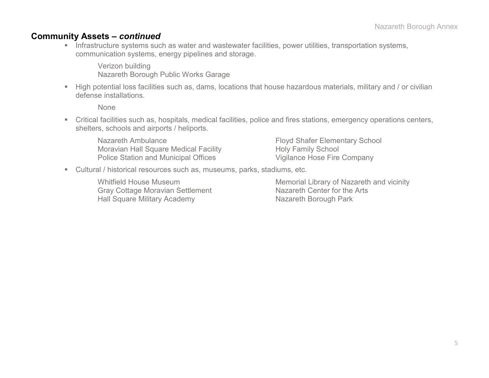### **Community Assets –** *continued*

**Infrastructure systems such as water and wastewater facilities, power utilities, transportation systems,** communication systems, energy pipelines and storage.

Verizon building Nazareth Borough Public Works Garage

 High potential loss facilities such as, dams, locations that house hazardous materials, military and / or civilian defense installations.

None

 Critical facilities such as, hospitals, medical facilities, police and fires stations, emergency operations centers, shelters, schools and airports / heliports.

Nazareth Ambulance **Floyd Shafer Elementary School** Moravian Hall Square Medical Facility Holy Family School Police Station and Municipal Offices Vigilance Hose Fire Company

Cultural / historical resources such as, museums, parks, stadiums, etc.

Gray Cottage Moravian Settlement Hall Square Military Academy Nazareth Borough Park

Whitfield House Museum<br>Gray Cottage Moravian Settlement Memorial Library of Nazareth and vicinity<br>Nazareth Center for the Arts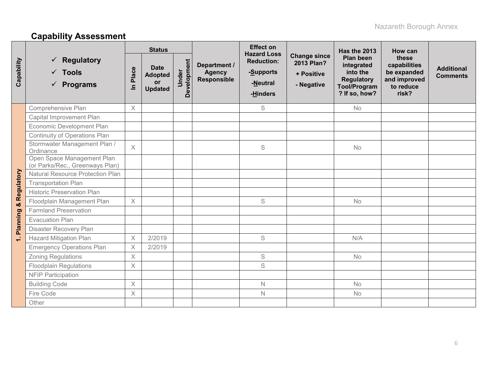# **Capability Assessment**

|            |                                                                       |                         | <b>Status</b>                                         |                      |                                                     | <b>Effect on</b><br><b>Hazard Loss</b>                 |                                                               | Has the 2013                                                                                     | How can                                                                    |                                      |
|------------|-----------------------------------------------------------------------|-------------------------|-------------------------------------------------------|----------------------|-----------------------------------------------------|--------------------------------------------------------|---------------------------------------------------------------|--------------------------------------------------------------------------------------------------|----------------------------------------------------------------------------|--------------------------------------|
| Capability | <b>Regulatory</b><br>✓<br>$\checkmark$ Tools<br>$\checkmark$ Programs | Place<br>르              | <b>Date</b><br><b>Adopted</b><br>or<br><b>Updated</b> | Development<br>Under | Department /<br><b>Agency</b><br><b>Responsible</b> | <b>Reduction:</b><br>-Supports<br>-Neutral<br>-Hinders | <b>Change since</b><br>2013 Plan?<br>+ Positive<br>- Negative | Plan been<br>integrated<br>into the<br><b>Regulatory</b><br><b>Tool/Program</b><br>? If so, how? | these<br>capabilities<br>be expanded<br>and improved<br>to reduce<br>risk? | <b>Additional</b><br><b>Comments</b> |
|            | Comprehensive Plan                                                    | $\times$                |                                                       |                      |                                                     | S                                                      |                                                               | <b>No</b>                                                                                        |                                                                            |                                      |
|            | Capital Improvement Plan                                              |                         |                                                       |                      |                                                     |                                                        |                                                               |                                                                                                  |                                                                            |                                      |
|            | Economic Development Plan                                             |                         |                                                       |                      |                                                     |                                                        |                                                               |                                                                                                  |                                                                            |                                      |
|            | Continuity of Operations Plan                                         |                         |                                                       |                      |                                                     |                                                        |                                                               |                                                                                                  |                                                                            |                                      |
|            | Stormwater Management Plan /<br>Ordinance                             | $\chi$                  |                                                       |                      |                                                     | S                                                      |                                                               | No                                                                                               |                                                                            |                                      |
|            | Open Space Management Plan<br>(or Parks/Rec., Greenways Plan)         |                         |                                                       |                      |                                                     |                                                        |                                                               |                                                                                                  |                                                                            |                                      |
|            | <b>Natural Resource Protection Plan</b>                               |                         |                                                       |                      |                                                     |                                                        |                                                               |                                                                                                  |                                                                            |                                      |
| Regulatory | <b>Transportation Plan</b>                                            |                         |                                                       |                      |                                                     |                                                        |                                                               |                                                                                                  |                                                                            |                                      |
|            | <b>Historic Preservation Plan</b>                                     |                         |                                                       |                      |                                                     |                                                        |                                                               |                                                                                                  |                                                                            |                                      |
| ×          | Floodplain Management Plan                                            | $\times$                |                                                       |                      |                                                     | S                                                      |                                                               | No                                                                                               |                                                                            |                                      |
|            | <b>Farmland Preservation</b>                                          |                         |                                                       |                      |                                                     |                                                        |                                                               |                                                                                                  |                                                                            |                                      |
|            | <b>Evacuation Plan</b>                                                |                         |                                                       |                      |                                                     |                                                        |                                                               |                                                                                                  |                                                                            |                                      |
| Planning   | Disaster Recovery Plan                                                |                         |                                                       |                      |                                                     |                                                        |                                                               |                                                                                                  |                                                                            |                                      |
| $\div$     | <b>Hazard Mitigation Plan</b>                                         | $\times$                | 2/2019                                                |                      |                                                     | $\mathbb S$                                            |                                                               | N/A                                                                                              |                                                                            |                                      |
|            | <b>Emergency Operations Plan</b>                                      | $\overline{\mathsf{X}}$ | 2/2019                                                |                      |                                                     |                                                        |                                                               |                                                                                                  |                                                                            |                                      |
|            | Zoning Regulations                                                    | $\times$                |                                                       |                      |                                                     | $\mathsf S$                                            |                                                               | No                                                                                               |                                                                            |                                      |
|            | <b>Floodplain Regulations</b>                                         | $\times$                |                                                       |                      |                                                     | S                                                      |                                                               |                                                                                                  |                                                                            |                                      |
|            | <b>NFIP Participation</b>                                             |                         |                                                       |                      |                                                     |                                                        |                                                               |                                                                                                  |                                                                            |                                      |
|            | <b>Building Code</b>                                                  | X                       |                                                       |                      |                                                     | $\mathbb N$                                            |                                                               | No                                                                                               |                                                                            |                                      |
|            | Fire Code                                                             | $\times$                |                                                       |                      |                                                     | $\mathsf{N}$                                           |                                                               | No                                                                                               |                                                                            |                                      |
|            | Other                                                                 |                         |                                                       |                      |                                                     |                                                        |                                                               |                                                                                                  |                                                                            |                                      |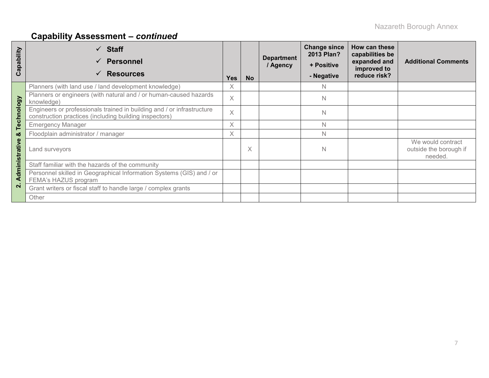# **Capability Assessment –** *continued*

| apability<br>ပ | $\checkmark$ Staff<br><b>Personnel</b><br>$\checkmark$<br><b>Resources</b><br>$\checkmark$                                       | <b>Yes</b> | <b>No</b> | <b>Department</b><br>/ Agency | <b>Change since</b><br>2013 Plan?<br>+ Positive<br>- Negative | How can these<br>capabilities be<br>expanded and<br>improved to<br>reduce risk? | <b>Additional Comments</b>                             |
|----------------|----------------------------------------------------------------------------------------------------------------------------------|------------|-----------|-------------------------------|---------------------------------------------------------------|---------------------------------------------------------------------------------|--------------------------------------------------------|
|                | Planners (with land use / land development knowledge)                                                                            | X          |           |                               | <sup>N</sup>                                                  |                                                                                 |                                                        |
|                | Planners or engineers (with natural and / or human-caused hazards<br>knowledge)                                                  | X          |           |                               | $\mathbb N$                                                   |                                                                                 |                                                        |
| Technology     | Engineers or professionals trained in building and / or infrastructure<br>construction practices (including building inspectors) | X          |           |                               | $\mathbb N$                                                   |                                                                                 |                                                        |
|                | <b>Emergency Manager</b>                                                                                                         | X          |           |                               | N                                                             |                                                                                 |                                                        |
| ఱ              | Floodplain administrator / manager                                                                                               |            |           |                               | N.                                                            |                                                                                 |                                                        |
| Administrative | Land surveyors                                                                                                                   |            | Χ         |                               | $\mathbb N$                                                   |                                                                                 | We would contract<br>outside the borough if<br>needed. |
|                | Staff familiar with the hazards of the community                                                                                 |            |           |                               |                                                               |                                                                                 |                                                        |
|                | Personnel skilled in Geographical Information Systems (GIS) and / or<br>FEMA's HAZUS program                                     |            |           |                               |                                                               |                                                                                 |                                                        |
| $\mathbf{N}$   | Grant writers or fiscal staff to handle large / complex grants                                                                   |            |           |                               |                                                               |                                                                                 |                                                        |
|                | Other                                                                                                                            |            |           |                               |                                                               |                                                                                 |                                                        |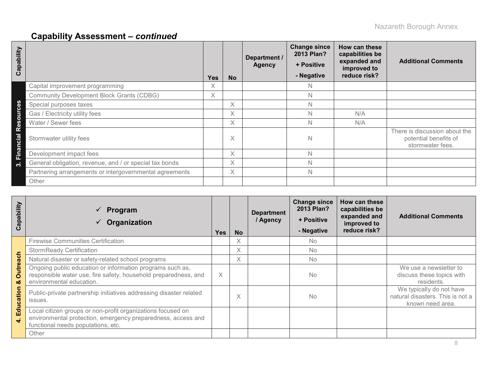# **Capability Assessment –** *continued*

| Capability           |                                                         | <b>Yes</b> | <b>No</b> | Department /<br><b>Agency</b> | <b>Change since</b><br>2013 Plan?<br>+ Positive<br>- Negative | How can these<br>capabilities be<br>expanded and<br>improved to<br>reduce risk? | <b>Additional Comments</b>                                                 |
|----------------------|---------------------------------------------------------|------------|-----------|-------------------------------|---------------------------------------------------------------|---------------------------------------------------------------------------------|----------------------------------------------------------------------------|
|                      | Capital improvement programming                         | X          |           |                               | N.                                                            |                                                                                 |                                                                            |
|                      | <b>Community Development Block Grants (CDBG)</b>        | $\times$   |           |                               | N                                                             |                                                                                 |                                                                            |
| <b>ces</b>           | Special purposes taxes                                  |            | X         |                               | N                                                             |                                                                                 |                                                                            |
| sour                 | Gas / Electricity utility fees                          |            | X         |                               | N                                                             | N/A                                                                             |                                                                            |
|                      | Water / Sewer fees                                      |            | X         |                               | N                                                             | N/A                                                                             |                                                                            |
| ق<br>R<br><u>Tai</u> | Stormwater utility fees                                 |            | X         |                               | N                                                             |                                                                                 | There is discussion about the<br>potential benefits of<br>stormwater fees. |
| Finan                | Development impact fees                                 |            | X         |                               | N                                                             |                                                                                 |                                                                            |
| ო                    | General obligation, revenue, and / or special tax bonds |            | X         |                               | N                                                             |                                                                                 |                                                                            |
|                      | Partnering arrangements or intergovernmental agreements |            | Χ         |                               | N                                                             |                                                                                 |                                                                            |
|                      | Other                                                   |            |           |                               |                                                               |                                                                                 |                                                                            |

| Capability           | $\checkmark$ Program<br>Organization                                                                                                                              | <b>Yes</b> | <b>No</b> | <b>Department</b><br>/ Agency | <b>Change since</b><br>2013 Plan?<br>+ Positive<br>- Negative | How can these<br>capabilities be<br>expanded and<br>improved to<br>reduce risk? | <b>Additional Comments</b>                                                       |
|----------------------|-------------------------------------------------------------------------------------------------------------------------------------------------------------------|------------|-----------|-------------------------------|---------------------------------------------------------------|---------------------------------------------------------------------------------|----------------------------------------------------------------------------------|
|                      | <b>Firewise Communities Certification</b>                                                                                                                         |            | X         |                               | No.                                                           |                                                                                 |                                                                                  |
|                      | <b>StormReady Certification</b>                                                                                                                                   |            | Χ         |                               | <b>No</b>                                                     |                                                                                 |                                                                                  |
| $rac{1}{\sigma}$     | Natural disaster or safety-related school programs                                                                                                                |            | X         |                               | <b>No</b>                                                     |                                                                                 |                                                                                  |
| <b>Outrea</b><br>ಯ   | Ongoing public education or information programs such as,<br>responsible water use, fire safety, household preparedness, and<br>environmental education.          | $\times$   |           |                               | No                                                            |                                                                                 | We use a newsletter to<br>discuss these topics with<br>residents.                |
| Education            | Public-private partnership initiatives addressing disaster related<br>issues.                                                                                     |            | X         |                               | No                                                            |                                                                                 | We typically do not have<br>natural disasters. This is not a<br>known need area. |
| $\ddot{\phantom{0}}$ | Local citizen groups or non-profit organizations focused on<br>environmental protection, emergency preparedness, access and<br>functional needs populations, etc. |            |           |                               |                                                               |                                                                                 |                                                                                  |
|                      | Other                                                                                                                                                             |            |           |                               |                                                               |                                                                                 |                                                                                  |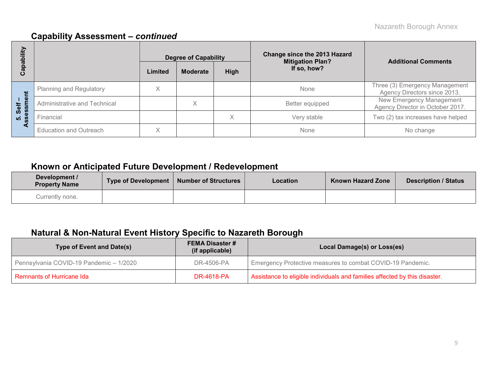## **Capability Assessment –** *continued*

| 写<br>$\overline{\mathbf{o}}$ | Change since the 2013 Hazard<br><b>Degree of Capability</b><br><b>Mitigation Plan?</b> |              | <b>Additional Comments</b> |      |                 |                                                                |  |
|------------------------------|----------------------------------------------------------------------------------------|--------------|----------------------------|------|-----------------|----------------------------------------------------------------|--|
| ဇ္ထ<br>w<br>ပ                |                                                                                        | Limited      | <b>Moderate</b>            | High | If so, how?     |                                                                |  |
|                              | <b>Planning and Regulatory</b>                                                         | X            |                            |      | None            | Three (3) Emergency Management<br>Agency Directors since 2013. |  |
| nent<br>Self                 | Administrative and Technical                                                           |              | $\checkmark$<br>∧          |      | Better equipped | New Emergency Management<br>Agency Director in October 2017.   |  |
| <u>Ø</u><br>- 02<br>ທ່ ທ     | Financial                                                                              |              |                            | X    | Very stable     | Two (2) tax increases have helped                              |  |
|                              | <b>Education and Outreach</b>                                                          | $\checkmark$ |                            |      | None            | No change                                                      |  |

## **Known or Anticipated Future Development / Redevelopment**

| Development /<br><b>Property Name</b> | Type of Development   Number of Structures | Location | <b>Known Hazard Zone</b> | <b>Description / Status</b> |
|---------------------------------------|--------------------------------------------|----------|--------------------------|-----------------------------|
| Currently none.                       |                                            |          |                          |                             |

## **Natural & Non-Natural Event History Specific to Nazareth Borough**

| <b>Type of Event and Date(s)</b>        | <b>FEMA Disaster #</b><br>(if applicable) | Local Damage(s) or Loss(es)                                                |
|-----------------------------------------|-------------------------------------------|----------------------------------------------------------------------------|
| Pennsylvania COVID-19 Pandemic - 1/2020 | DR-4506-PA                                | Emergency Protective measures to combat COVID-19 Pandemic.                 |
| Remnants of Hurricane Ida               | <b>DR-4618-PA</b>                         | Assistance to eligible individuals and families affected by this disaster. |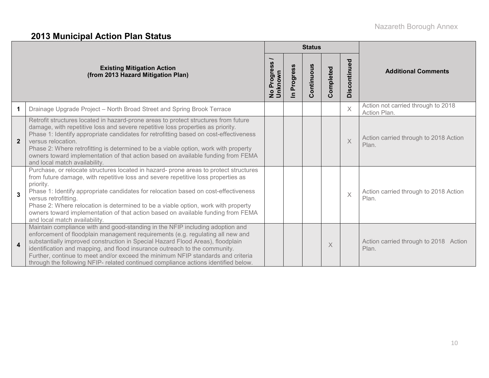## **2013 Municipal Action Plan Status**

|                         |                                                                                                                                                                                                                                                                                                                                                                                                                                                                                                                  |                                 |                      | <b>Status</b> |           |              |                                                    |
|-------------------------|------------------------------------------------------------------------------------------------------------------------------------------------------------------------------------------------------------------------------------------------------------------------------------------------------------------------------------------------------------------------------------------------------------------------------------------------------------------------------------------------------------------|---------------------------------|----------------------|---------------|-----------|--------------|----------------------------------------------------|
|                         | <b>Existing Mitigation Action</b><br>(from 2013 Hazard Mitigation Plan)                                                                                                                                                                                                                                                                                                                                                                                                                                          | Progress<br>No Prog.<br>Unknown | Progress<br>$\equiv$ | Continuous    | Completed | Discontinued | <b>Additional Comments</b>                         |
| 1                       | Drainage Upgrade Project - North Broad Street and Spring Brook Terrace                                                                                                                                                                                                                                                                                                                                                                                                                                           |                                 |                      |               |           | X            | Action not carried through to 2018<br>Action Plan. |
| $\mathbf{2}$            | Retrofit structures located in hazard-prone areas to protect structures from future<br>damage, with repetitive loss and severe repetitive loss properties as priority.<br>Phase 1: Identify appropriate candidates for retrofitting based on cost-effectiveness<br>versus relocation.<br>Phase 2: Where retrofitting is determined to be a viable option, work with property<br>owners toward implementation of that action based on available funding from FEMA<br>and local match availability.                |                                 |                      |               |           | $\times$     | Action carried through to 2018 Action<br>Plan.     |
| 3                       | Purchase, or relocate structures located in hazard- prone areas to protect structures<br>from future damage, with repetitive loss and severe repetitive loss properties as<br>priority.<br>Phase 1: Identify appropriate candidates for relocation based on cost-effectiveness<br>versus retrofitting.<br>Phase 2: Where relocation is determined to be a viable option, work with property<br>owners toward implementation of that action based on available funding from FEMA<br>and local match availability. |                                 |                      |               |           | $\times$     | Action carried through to 2018 Action<br>Plan.     |
| $\overline{\mathbf{4}}$ | Maintain compliance with and good-standing in the NFIP including adoption and<br>enforcement of floodplain management requirements (e.g. regulating all new and<br>substantially improved construction in Special Hazard Flood Areas), floodplain<br>identification and mapping, and flood insurance outreach to the community.<br>Further, continue to meet and/or exceed the minimum NFIP standards and criteria<br>through the following NFIP- related continued compliance actions identified below.         |                                 |                      |               | $\times$  |              | Action carried through to 2018 Action<br>Plan.     |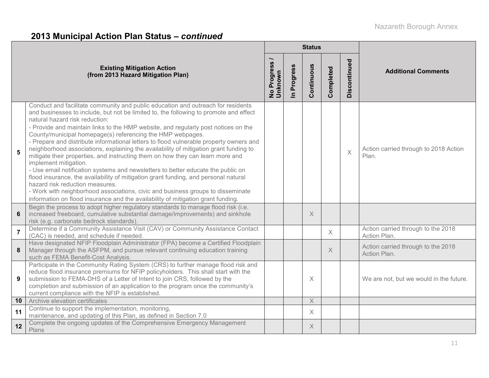# **2013 Municipal Action Plan Status –** *continued*

|                |                                                                                                                                                                                                                                                                                                                                                                                                                                                                                                                                                                                                                                                                                                                                                                                                                                                                                                                                                                                                                                                    |                                                      |                      | <b>Status</b>             |           |              |                                                    |
|----------------|----------------------------------------------------------------------------------------------------------------------------------------------------------------------------------------------------------------------------------------------------------------------------------------------------------------------------------------------------------------------------------------------------------------------------------------------------------------------------------------------------------------------------------------------------------------------------------------------------------------------------------------------------------------------------------------------------------------------------------------------------------------------------------------------------------------------------------------------------------------------------------------------------------------------------------------------------------------------------------------------------------------------------------------------------|------------------------------------------------------|----------------------|---------------------------|-----------|--------------|----------------------------------------------------|
|                | <b>Existing Mitigation Action</b><br>(from 2013 Hazard Mitigation Plan)                                                                                                                                                                                                                                                                                                                                                                                                                                                                                                                                                                                                                                                                                                                                                                                                                                                                                                                                                                            | $\overline{\phantom{0}}$<br>No Progress /<br>Unknown | Progress<br>$\equiv$ | Continuous                | Completed | Discontinued | <b>Additional Comments</b>                         |
| 5              | Conduct and facilitate community and public education and outreach for residents<br>and businesses to include, but not be limited to, the following to promote and effect<br>natural hazard risk reduction:<br>- Provide and maintain links to the HMP website, and regularly post notices on the<br>County/municipal homepage(s) referencing the HMP webpages.<br>- Prepare and distribute informational letters to flood vulnerable property owners and<br>neighborhood associations, explaining the availability of mitigation grant funding to<br>mitigate their properties, and instructing them on how they can learn more and<br>implement mitigation.<br>- Use email notification systems and newsletters to better educate the public on<br>flood insurance, the availability of mitigation grant funding, and personal natural<br>hazard risk reduction measures.<br>- Work with neighborhood associations, civic and business groups to disseminate<br>information on flood insurance and the availability of mitigation grant funding. |                                                      |                      |                           |           | $\times$     | Action carried through to 2018 Action<br>Plan.     |
| $6\phantom{1}$ | Begin the process to adopt higher regulatory standards to manage flood risk (i.e.<br>increased freeboard, cumulative substantial damage/improvements) and sinkhole<br>risk (e.g. carbonate bedrock standards)                                                                                                                                                                                                                                                                                                                                                                                                                                                                                                                                                                                                                                                                                                                                                                                                                                      |                                                      |                      | $\times$                  |           |              |                                                    |
| $\overline{7}$ | Determine if a Community Assistance Visit (CAV) or Community Assistance Contact<br>(CAC) is needed, and schedule if needed.                                                                                                                                                                                                                                                                                                                                                                                                                                                                                                                                                                                                                                                                                                                                                                                                                                                                                                                        |                                                      |                      |                           | $\times$  |              | Action carried through to the 2018<br>Action Plan. |
| 8              | Have designated NFIP Floodplain Administrator (FPA) become a Certified Floodplain<br>Manager through the ASFPM, and pursue relevant continuing education training<br>such as FEMA Benefit-Cost Analysis.                                                                                                                                                                                                                                                                                                                                                                                                                                                                                                                                                                                                                                                                                                                                                                                                                                           |                                                      |                      |                           | $\times$  |              | Action carried through to the 2018<br>Action Plan. |
| 9              | Participate in the Community Rating System (CRS) to further manage flood risk and<br>reduce flood insurance premiums for NFIP policyholders. This shall start with the<br>submission to FEMA-DHS of a Letter of Intent to join CRS, followed by the<br>completion and submission of an application to the program once the community's<br>current compliance with the NFIP is established.                                                                                                                                                                                                                                                                                                                                                                                                                                                                                                                                                                                                                                                         |                                                      |                      | $\times$                  |           |              | We are not, but we would in the future.            |
| 10             | Archive elevation certificates                                                                                                                                                                                                                                                                                                                                                                                                                                                                                                                                                                                                                                                                                                                                                                                                                                                                                                                                                                                                                     |                                                      |                      | $\boldsymbol{\mathsf{X}}$ |           |              |                                                    |
| 11             | Continue to support the implementation, monitoring,<br>maintenance, and updating of this Plan, as defined in Section 7.0                                                                                                                                                                                                                                                                                                                                                                                                                                                                                                                                                                                                                                                                                                                                                                                                                                                                                                                           |                                                      |                      | $\times$                  |           |              |                                                    |
| 12             | Complete the ongoing updates of the Comprehensive Emergency Management<br>Plans                                                                                                                                                                                                                                                                                                                                                                                                                                                                                                                                                                                                                                                                                                                                                                                                                                                                                                                                                                    |                                                      |                      | $\times$                  |           |              |                                                    |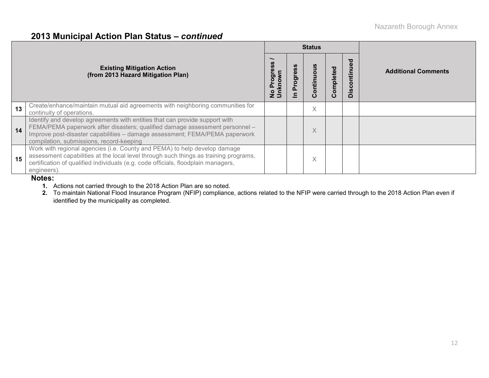### **2013 Municipal Action Plan Status –** *continued*

|    |                                                                                                                                                                                                                                                                                        |                                  |               | <b>Status</b>   |          |                           |                            |  |  |
|----|----------------------------------------------------------------------------------------------------------------------------------------------------------------------------------------------------------------------------------------------------------------------------------------|----------------------------------|---------------|-----------------|----------|---------------------------|----------------------------|--|--|
|    | <b>Existing Mitigation Action</b><br>(from 2013 Hazard Mitigation Plan)                                                                                                                                                                                                                | Progress<br>No Progre<br>Unknown | rog<br>൨<br>≘ | sno<br>Continue | ompleted | tinued<br>isc<br>$\Omega$ | <b>Additional Comments</b> |  |  |
| 13 | Create/enhance/maintain mutual aid agreements with neighboring communities for<br>continuity of operations.                                                                                                                                                                            |                                  |               | X               |          |                           |                            |  |  |
| 14 | Identify and develop agreements with entities that can provide support with<br>FEMA/PEMA paperwork after disasters; qualified damage assessment personnel -<br>Improve post-disaster capabilities - damage assessment; FEMA/PEMA paperwork<br>compilation, submissions, record-keeping |                                  |               | X               |          |                           |                            |  |  |
| 15 | Work with regional agencies (i.e. County and PEMA) to help develop damage<br>assessment capabilities at the local level through such things as training programs,<br>certification of qualified individuals (e.g. code officials, floodplain managers,<br>engineers).                  |                                  |               | X               |          |                           |                            |  |  |

#### **Notes:**

**1.** Actions not carried through to the 2018 Action Plan are so noted.

**2.** To maintain National Flood Insurance Program (NFIP) compliance, actions related to the NFIP were carried through to the 2018 Action Plan even if identified by the municipality as completed.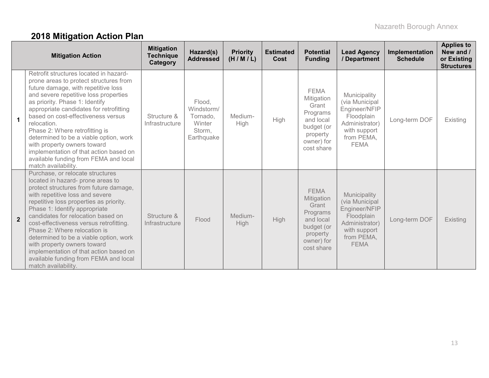# **2018 Mitigation Action Plan**

|                | <b>Mitigation Action</b>                                                                                                                                                                                                                                                                                                                                                                                                                                                                                                           | <b>Mitigation</b><br><b>Technique</b><br>Category | Hazard(s)<br><b>Addressed</b>                                      | <b>Priority</b><br>(H/M/L) | <b>Estimated</b><br><b>Cost</b> | <b>Potential</b><br><b>Funding</b>                                                                                | <b>Lead Agency</b><br>/ Department                                                                                           | Implementation<br><b>Schedule</b> | <b>Applies to</b><br>New and /<br>or Existing<br><b>Structures</b> |
|----------------|------------------------------------------------------------------------------------------------------------------------------------------------------------------------------------------------------------------------------------------------------------------------------------------------------------------------------------------------------------------------------------------------------------------------------------------------------------------------------------------------------------------------------------|---------------------------------------------------|--------------------------------------------------------------------|----------------------------|---------------------------------|-------------------------------------------------------------------------------------------------------------------|------------------------------------------------------------------------------------------------------------------------------|-----------------------------------|--------------------------------------------------------------------|
| $\mathbf 1$    | Retrofit structures located in hazard-<br>prone areas to protect structures from<br>future damage, with repetitive loss<br>and severe repetitive loss properties<br>as priority. Phase 1: Identify<br>appropriate candidates for retrofitting<br>based on cost-effectiveness versus<br>relocation.<br>Phase 2: Where retrofitting is<br>determined to be a viable option, work<br>with property owners toward<br>implementation of that action based on<br>available funding from FEMA and local<br>match availability.            | Structure &<br>Infrastructure                     | Flood,<br>Windstorm/<br>Tornado,<br>Winter<br>Storm,<br>Earthquake | Medium-<br>High            | High                            | <b>FEMA</b><br>Mitigation<br>Grant<br>Programs<br>and local<br>budget (or<br>property<br>owner) for<br>cost share | Municipality<br>(via Municipal<br>Engineer/NFIP<br>Floodplain<br>Administrator)<br>with support<br>from PEMA,<br><b>FEMA</b> | Long-term DOF                     | Existing                                                           |
| $\overline{2}$ | Purchase, or relocate structures<br>located in hazard- prone areas to<br>protect structures from future damage,<br>with repetitive loss and severe<br>repetitive loss properties as priority.<br>Phase 1: Identify appropriate<br>candidates for relocation based on<br>cost-effectiveness versus retrofitting.<br>Phase 2: Where relocation is<br>determined to be a viable option, work<br>with property owners toward<br>implementation of that action based on<br>available funding from FEMA and local<br>match availability. | Structure &<br>Infrastructure                     | Flood                                                              | Medium-<br><b>High</b>     | High                            | <b>FEMA</b><br>Mitigation<br>Grant<br>Programs<br>and local<br>budget (or<br>property<br>owner) for<br>cost share | Municipality<br>(via Municipal<br>Engineer/NFIP<br>Floodplain<br>Administrator)<br>with support<br>from PEMA,<br><b>FEMA</b> | Long-term DOF                     | Existing                                                           |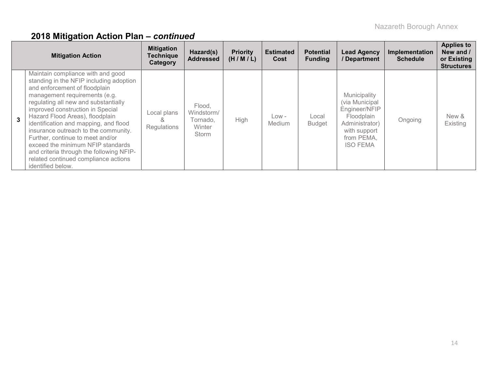|   | <b>Mitigation Action</b>                                                                                                                                                                                                                                                                                                                                                                                                                                                                                                         | <b>Mitigation</b><br><b>Technique</b><br>Category | Hazard(s)<br><b>Addressed</b>                              | <b>Priority</b><br>(H/M/L) | <b>Estimated</b><br>Cost | <b>Potential</b><br><b>Funding</b> | <b>Lead Agency</b><br>/Department                                                                                                | Implementation<br><b>Schedule</b> | <b>Applies to</b><br>New and /<br>or Existing<br><b>Structures</b> |
|---|----------------------------------------------------------------------------------------------------------------------------------------------------------------------------------------------------------------------------------------------------------------------------------------------------------------------------------------------------------------------------------------------------------------------------------------------------------------------------------------------------------------------------------|---------------------------------------------------|------------------------------------------------------------|----------------------------|--------------------------|------------------------------------|----------------------------------------------------------------------------------------------------------------------------------|-----------------------------------|--------------------------------------------------------------------|
| 3 | Maintain compliance with and good<br>standing in the NFIP including adoption<br>and enforcement of floodplain<br>management requirements (e.g.<br>regulating all new and substantially<br>improved construction in Special<br>Hazard Flood Areas), floodplain<br>identification and mapping, and flood<br>insurance outreach to the community.<br>Further, continue to meet and/or<br>exceed the minimum NFIP standards<br>and criteria through the following NFIP-<br>related continued compliance actions<br>identified below. | Local plans<br>ă<br>Regulations                   | Flood.<br>Windstorm/<br>Tornado.<br><b>Winter</b><br>Storm | <b>High</b>                | $Low -$<br>Medium        | Local<br><b>Budget</b>             | Municipality<br>(via Municipal<br>Engineer/NFIP<br>Floodplain<br>Administrator)<br>with support<br>from PEMA,<br><b>ISO FEMA</b> | Ongoing                           | New &<br>Existing                                                  |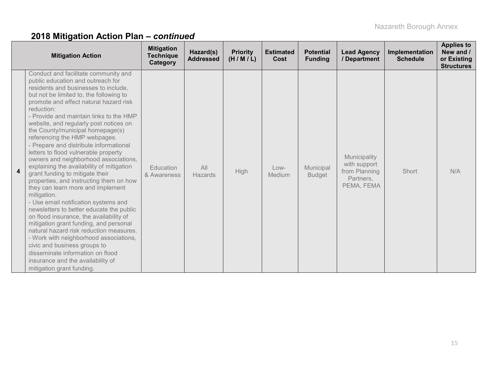|                         | <b>Mitigation Action</b>                                                                                                                                                                                                                                                                                                                                                                                                                                                                                                                                                                                                                                                                                                                                                                                                                                                                                                                                                                                                                                                                     | <b>Mitigation</b><br><b>Technique</b><br>Category | Hazard(s)<br><b>Addressed</b> | <b>Priority</b><br>(H/M/L) | <b>Estimated</b><br>Cost | <b>Potential</b><br><b>Funding</b> | <b>Lead Agency</b><br>/ Department                                       | Implementation<br><b>Schedule</b> | <b>Applies to</b><br>New and /<br>or Existing<br><b>Structures</b> |
|-------------------------|----------------------------------------------------------------------------------------------------------------------------------------------------------------------------------------------------------------------------------------------------------------------------------------------------------------------------------------------------------------------------------------------------------------------------------------------------------------------------------------------------------------------------------------------------------------------------------------------------------------------------------------------------------------------------------------------------------------------------------------------------------------------------------------------------------------------------------------------------------------------------------------------------------------------------------------------------------------------------------------------------------------------------------------------------------------------------------------------|---------------------------------------------------|-------------------------------|----------------------------|--------------------------|------------------------------------|--------------------------------------------------------------------------|-----------------------------------|--------------------------------------------------------------------|
| $\overline{\mathbf{4}}$ | Conduct and facilitate community and<br>public education and outreach for<br>residents and businesses to include,<br>but not be limited to, the following to<br>promote and effect natural hazard risk<br>reduction:<br>- Provide and maintain links to the HMP<br>website, and regularly post notices on<br>the County/municipal homepage(s)<br>referencing the HMP webpages.<br>- Prepare and distribute informational<br>letters to flood vulnerable property<br>owners and neighborhood associations,<br>explaining the availability of mitigation<br>grant funding to mitigate their<br>properties, and instructing them on how<br>they can learn more and implement<br>mitigation.<br>- Use email notification systems and<br>newsletters to better educate the public<br>on flood insurance, the availability of<br>mitigation grant funding, and personal<br>natural hazard risk reduction measures.<br>- Work with neighborhood associations,<br>civic and business groups to<br>disseminate information on flood<br>insurance and the availability of<br>mitigation grant funding. | <b>Education</b><br>& Awareness                   | All<br><b>Hazards</b>         | <b>High</b>                | Low-<br>Medium           | Municipal<br><b>Budget</b>         | Municipality<br>with support<br>from Planning<br>Partners,<br>PEMA, FEMA | Short                             | N/A                                                                |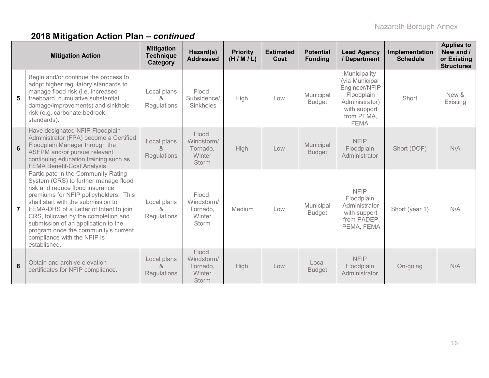|                | <b>Mitigation Action</b>                                                                                                                                                                                                                                                                                                                                                                                     | <b>Mitigation</b><br><b>Technique</b><br>Category | Hazard(s)<br><b>Addressed</b>                              | <b>Priority</b><br>(H/M/L) | <b>Estimated</b><br>Cost | <b>Potential</b><br><b>Funding</b> | <b>Lead Agency</b><br>/ Department                                                                                           | Implementation<br><b>Schedule</b> | <b>Applies to</b><br>New and /<br>or Existing<br><b>Structures</b> |
|----------------|--------------------------------------------------------------------------------------------------------------------------------------------------------------------------------------------------------------------------------------------------------------------------------------------------------------------------------------------------------------------------------------------------------------|---------------------------------------------------|------------------------------------------------------------|----------------------------|--------------------------|------------------------------------|------------------------------------------------------------------------------------------------------------------------------|-----------------------------------|--------------------------------------------------------------------|
| 5 <sup>5</sup> | Begin and/or continue the process to<br>adopt higher regulatory standards to<br>manage flood risk (i.e. increased<br>freeboard, cumulative substantial<br>damage/improvements) and sinkhole<br>risk (e.g. carbonate bedrock<br>standards).                                                                                                                                                                   | Local plans<br>Regulations                        | Flood:<br>Subsidence/<br>Sinkholes                         | High                       | Low                      | Municipal<br><b>Budget</b>         | Municipality<br>(via Municipal<br>Engineer/NFIP<br>Floodplain<br>Administrator)<br>with support<br>from PEMA,<br><b>FEMA</b> | Short                             | New &<br>Existing                                                  |
| $6\phantom{a}$ | Have designated NFIP Floodplain<br>Administrator (FPA) become a Certified<br>Floodplain Manager through the<br>ASFPM and/or pursue relevant<br>continuing education training such as<br><b>FEMA Benefit-Cost Analysis.</b>                                                                                                                                                                                   | Local plans<br>&<br>Regulations                   | Flood,<br>Windstorm/<br>Tornado.<br>Winter<br><b>Storm</b> | High                       | Low                      | Municipal<br><b>Budget</b>         | <b>NFIP</b><br>Floodplain<br>Administrator                                                                                   | Short (DOF)                       | N/A                                                                |
| 7 <sup>7</sup> | Participate in the Community Rating<br>System (CRS) to further manage flood<br>risk and reduce flood insurance<br>premiums for NFIP policyholders. This<br>shall start with the submission to<br>FEMA-DHS of a Letter of Intent to join<br>CRS, followed by the completion and<br>submission of an application to the<br>program once the community's current<br>compliance with the NFIP is<br>established. | Local plans<br>&<br>Regulations                   | Flood,<br>Windstorm/<br>Tornado,<br>Winter<br><b>Storm</b> | Medium                     | Low                      | Municipal<br><b>Budget</b>         | <b>NFIP</b><br>Floodplain<br>Administrator<br>with support<br>from PADEP,<br>PEMA, FEMA                                      | Short (year 1)                    | N/A                                                                |
| 8              | Obtain and archive elevation<br>certificates for NFIP compliance.                                                                                                                                                                                                                                                                                                                                            | Local plans<br>&<br>Regulations                   | Flood,<br>Windstorm/<br>Tornado,<br>Winter<br>Storm        | High                       | Low                      | Local<br><b>Budget</b>             | <b>NFIP</b><br>Floodplain<br>Administrator                                                                                   | On-going                          | N/A                                                                |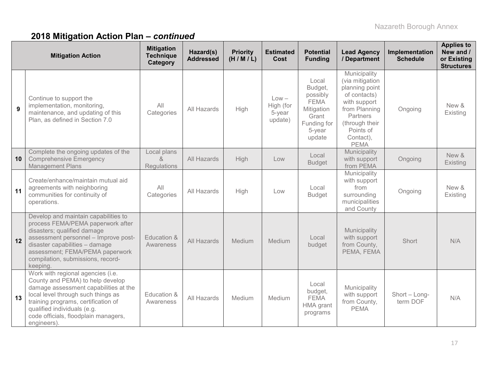|    | <b>Mitigation Action</b>                                                                                                                                                                                                                                                          | <b>Mitigation</b><br><b>Technique</b><br>Category | Hazard(s)<br><b>Addressed</b> | <b>Priority</b><br>(H/M/L) | <b>Estimated</b><br>Cost                  | <b>Potential</b><br><b>Funding</b>                                                                    | <b>Lead Agency</b><br>/ Department                                                                                                                                        | Implementation<br><b>Schedule</b> | <b>Applies to</b><br>New and /<br>or Existing<br><b>Structures</b> |
|----|-----------------------------------------------------------------------------------------------------------------------------------------------------------------------------------------------------------------------------------------------------------------------------------|---------------------------------------------------|-------------------------------|----------------------------|-------------------------------------------|-------------------------------------------------------------------------------------------------------|---------------------------------------------------------------------------------------------------------------------------------------------------------------------------|-----------------------------------|--------------------------------------------------------------------|
| 9  | Continue to support the<br>implementation, monitoring,<br>maintenance, and updating of this<br>Plan, as defined in Section 7.0                                                                                                                                                    | All<br>Categories                                 | All Hazards                   | High                       | $Low -$<br>High (for<br>5-year<br>update) | Local<br>Budget,<br>possibly<br><b>FEMA</b><br>Mitigation<br>Grant<br>Funding for<br>5-year<br>update | Municipality<br>(via mitigation<br>planning point<br>of contacts)<br>with support<br>from Planning<br>Partners<br>(through their<br>Points of<br>Contact),<br><b>PEMA</b> | Ongoing                           | New &<br>Existing                                                  |
| 10 | Complete the ongoing updates of the<br><b>Comprehensive Emergency</b><br><b>Management Plans</b>                                                                                                                                                                                  | Local plans<br>$\alpha$<br><b>Regulations</b>     | All Hazards                   | High                       | Low                                       | Local<br><b>Budget</b>                                                                                | Municipality<br>with support<br>from PEMA                                                                                                                                 | Ongoing                           | New &<br>Existing                                                  |
| 11 | Create/enhance/maintain mutual aid<br>agreements with neighboring<br>communities for continuity of<br>operations.                                                                                                                                                                 | All<br>Categories                                 | All Hazards                   | High                       | Low                                       | Local<br><b>Budget</b>                                                                                | Municipality<br>with support<br>from<br>surrounding<br>municipalities<br>and County                                                                                       | Ongoing                           | New &<br>Existing                                                  |
| 12 | Develop and maintain capabilities to<br>process FEMA/PEMA paperwork after<br>disasters; qualified damage<br>assessment personnel - Improve post-<br>disaster capabilities - damage<br>assessment; FEMA/PEMA paperwork<br>compilation, submissions, record-<br>keeping.            | Education &<br>Awareness                          | All Hazards                   | Medium                     | Medium                                    | Local<br>budget                                                                                       | Municipality<br>with support<br>from County,<br>PEMA, FEMA                                                                                                                | Short                             | N/A                                                                |
| 13 | Work with regional agencies (i.e.<br>County and PEMA) to help develop<br>damage assessment capabilities at the<br>local level through such things as<br>training programs, certification of<br>qualified individuals (e.g.<br>code officials, floodplain managers,<br>engineers). | Education &<br>Awareness                          | All Hazards                   | Medium                     | Medium                                    | Local<br>budget,<br><b>FEMA</b><br>HMA grant<br>programs                                              | Municipality<br>with support<br>from County,<br><b>PEMA</b>                                                                                                               | Short - Long-<br>term DOF         | N/A                                                                |